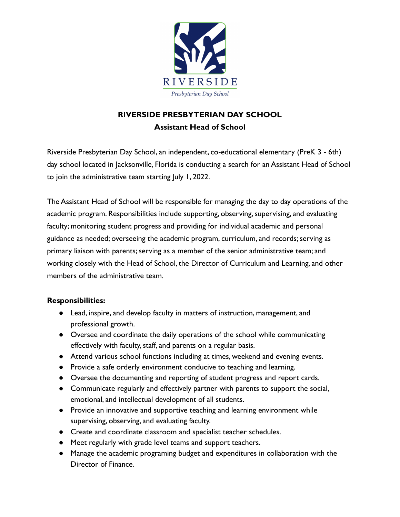

## **RIVERSIDE PRESBYTERIAN DAY SCHOOL Assistant Head of School**

Riverside Presbyterian Day School, an independent, co-educational elementary (PreK 3 - 6th) day school located in Jacksonville, Florida is conducting a search for an Assistant Head of School to join the administrative team starting July 1, 2022.

The Assistant Head of School will be responsible for managing the day to day operations of the academic program. Responsibilities include supporting, observing, supervising, and evaluating faculty; monitoring student progress and providing for individual academic and personal guidance as needed; overseeing the academic program, curriculum, and records; serving as primary liaison with parents; serving as a member of the senior administrative team; and working closely with the Head of School, the Director of Curriculum and Learning, and other members of the administrative team.

## **Responsibilities:**

- Lead, inspire, and develop faculty in matters of instruction, management, and professional growth.
- Oversee and coordinate the daily operations of the school while communicating effectively with faculty, staff, and parents on a regular basis.
- Attend various school functions including at times, weekend and evening events.
- Provide a safe orderly environment conducive to teaching and learning.
- Oversee the documenting and reporting of student progress and report cards.
- Communicate regularly and effectively partner with parents to support the social, emotional, and intellectual development of all students.
- Provide an innovative and supportive teaching and learning environment while supervising, observing, and evaluating faculty.
- Create and coordinate classroom and specialist teacher schedules.
- Meet regularly with grade level teams and support teachers.
- Manage the academic programing budget and expenditures in collaboration with the Director of Finance.